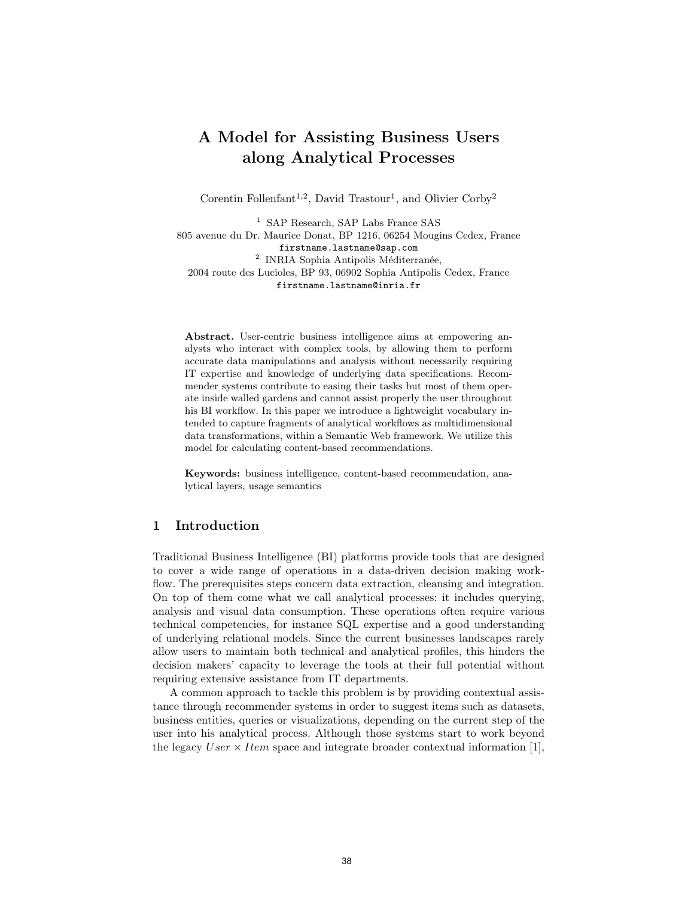# A Model for Assisting Business Users along Analytical Processes

Corentin Follenfant<sup>1,2</sup>, David Trastour<sup>1</sup>, and Olivier Corby<sup>2</sup>

<sup>1</sup> SAP Research, SAP Labs France SAS 805 avenue du Dr. Maurice Donat, BP 1216, 06254 Mougins Cedex, France firstname.lastname@sap.com <sup>2</sup> INRIA Sophia Antipolis Méditerranée, 2004 route des Lucioles, BP 93, 06902 Sophia Antipolis Cedex, France firstname.lastname@inria.fr

Abstract. User-centric business intelligence aims at empowering analysts who interact with complex tools, by allowing them to perform accurate data manipulations and analysis without necessarily requiring IT expertise and knowledge of underlying data specifications. Recommender systems contribute to easing their tasks but most of them operate inside walled gardens and cannot assist properly the user throughout his BI workflow. In this paper we introduce a lightweight vocabulary intended to capture fragments of analytical workflows as multidimensional data transformations, within a Semantic Web framework. We utilize this model for calculating content-based recommendations.

Keywords: business intelligence, content-based recommendation, analytical layers, usage semantics

### 1 Introduction

Traditional Business Intelligence (BI) platforms provide tools that are designed to cover a wide range of operations in a data-driven decision making workflow. The prerequisites steps concern data extraction, cleansing and integration. On top of them come what we call analytical processes: it includes querying, analysis and visual data consumption. These operations often require various technical competencies, for instance SQL expertise and a good understanding of underlying relational models. Since the current businesses landscapes rarely allow users to maintain both technical and analytical profiles, this hinders the decision makers' capacity to leverage the tools at their full potential without requiring extensive assistance from IT departments.

A common approach to tackle this problem is by providing contextual assistance through recommender systems in order to suggest items such as datasets, business entities, queries or visualizations, depending on the current step of the user into his analytical process. Although those systems start to work beyond the legacy  $User \times Item$  space and integrate broader contextual information [1],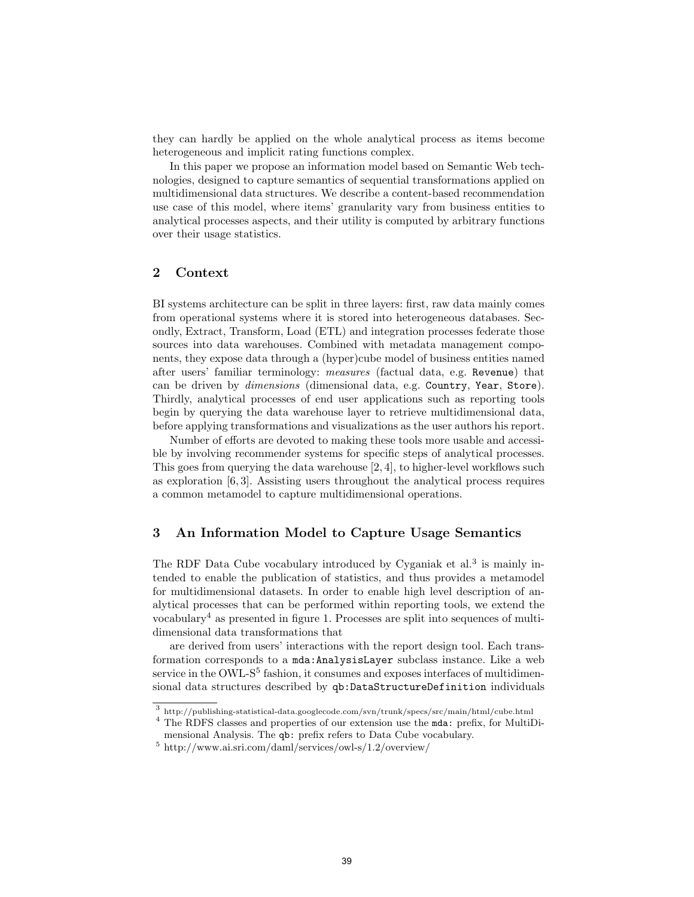they can hardly be applied on the whole analytical process as items become heterogeneous and implicit rating functions complex.

In this paper we propose an information model based on Semantic Web technologies, designed to capture semantics of sequential transformations applied on multidimensional data structures. We describe a content-based recommendation use case of this model, where items' granularity vary from business entities to analytical processes aspects, and their utility is computed by arbitrary functions over their usage statistics.

# 2 Context

BI systems architecture can be split in three layers: first, raw data mainly comes from operational systems where it is stored into heterogeneous databases. Secondly, Extract, Transform, Load (ETL) and integration processes federate those sources into data warehouses. Combined with metadata management components, they expose data through a (hyper)cube model of business entities named after users' familiar terminology: measures (factual data, e.g. Revenue) that can be driven by dimensions (dimensional data, e.g. Country, Year, Store). Thirdly, analytical processes of end user applications such as reporting tools begin by querying the data warehouse layer to retrieve multidimensional data, before applying transformations and visualizations as the user authors his report.

Number of efforts are devoted to making these tools more usable and accessible by involving recommender systems for specific steps of analytical processes. This goes from querying the data warehouse [2, 4], to higher-level workflows such as exploration  $[6, 3]$ . Assisting users throughout the analytical process requires a common metamodel to capture multidimensional operations.

### 3 An Information Model to Capture Usage Semantics

The RDF Data Cube vocabulary introduced by Cyganiak et al.<sup>3</sup> is mainly intended to enable the publication of statistics, and thus provides a metamodel for multidimensional datasets. In order to enable high level description of analytical processes that can be performed within reporting tools, we extend the vocabulary<sup>4</sup> as presented in figure 1. Processes are split into sequences of multidimensional data transformations that

are derived from users' interactions with the report design tool. Each transformation corresponds to a mda:AnalysisLayer subclass instance. Like a web service in the OWL- $S<sup>5</sup>$  fashion, it consumes and exposes interfaces of multidimensional data structures described by qb:DataStructureDefinition individuals

<sup>3</sup> http://publishing-statistical-data.googlecode.com/svn/trunk/specs/src/main/html/cube.html

<sup>4</sup> The RDFS classes and properties of our extension use the mda: prefix, for MultiDimensional Analysis. The qb: prefix refers to Data Cube vocabulary.

<sup>5</sup> http://www.ai.sri.com/daml/services/owl-s/1.2/overview/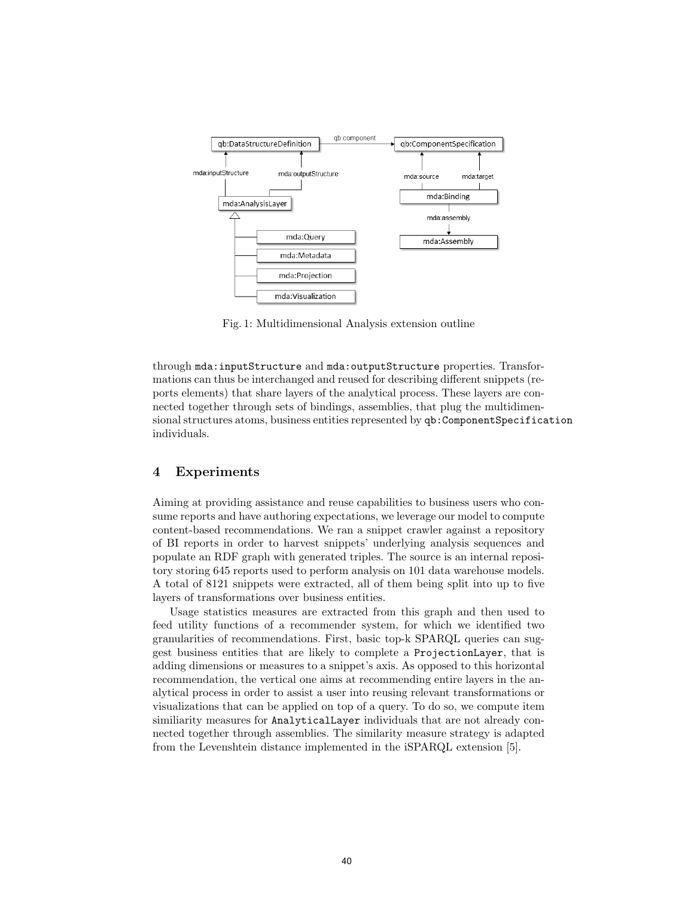

Fig. 1: Multidimensional Analysis extension outline

through mda:inputStructure and mda:outputStructure properties. Transformations can thus be interchanged and reused for describing different snippets (reports elements) that share layers of the analytical process. These layers are connected together through sets of bindings, assemblies, that plug the multidimensional structures atoms, business entities represented by qb:ComponentSpecification individuals.

#### 4 Experiments

Aiming at providing assistance and reuse capabilities to business users who consume reports and have authoring expectations, we leverage our model to compute content-based recommendations. We ran a snippet crawler against a repository of BI reports in order to harvest snippets' underlying analysis sequences and populate an RDF graph with generated triples. The source is an internal repository storing 645 reports used to perform analysis on 101 data warehouse models. A total of 8121 snippets were extracted, all of them being split into up to five layers of transformations over business entities.

Usage statistics measures are extracted from this graph and then used to feed utility functions of a recommender system, for which we identified two granularities of recommendations. First, basic top-k SPARQL queries can suggest business entities that are likely to complete a ProjectionLayer, that is adding dimensions or measures to a snippet's axis. As opposed to this horizontal recommendation, the vertical one aims at recommending entire layers in the analytical process in order to assist a user into reusing relevant transformations or visualizations that can be applied on top of a query. To do so, we compute item similiarity measures for AnalyticalLayer individuals that are not already connected together through assemblies. The similarity measure strategy is adapted from the Levenshtein distance implemented in the iSPARQL extension [5].